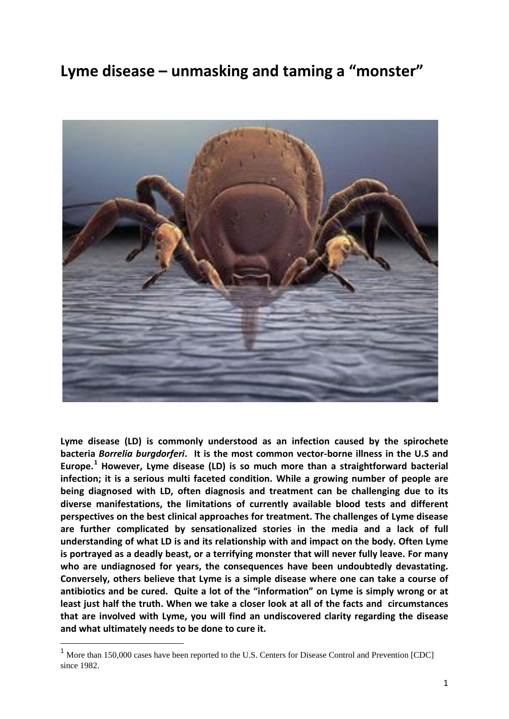# **Lyme disease – unmasking and taming a "monster"**



**Lyme disease (LD) is commonly understood as an infection caused by the spirochete bacteria** *Borrelia burgdorferi***. It is the most common vector-borne illness in the U.S and Europe.[1](#page-0-0) However, Lyme disease (LD) is so much more than a straightforward bacterial infection; it is a serious multi faceted condition. While a growing number of people are being diagnosed with LD, often diagnosis and treatment can be challenging due to its diverse manifestations, the limitations of currently available blood tests and different perspectives on the best clinical approaches for treatment. The challenges of Lyme disease are further complicated by sensationalized stories in the media and a lack of full understanding of what LD is and its relationship with and impact on the body. Often Lyme is portrayed as a deadly beast, or a terrifying monster that will never fully leave. For many who are undiagnosed for years, the consequences have been undoubtedly devastating. Conversely, others believe that Lyme is a simple disease where one can take a course of antibiotics and be cured. Quite a lot of the "information" on Lyme is simply wrong or at least just half the truth. When we take a closer look at all of the facts and circumstances that are involved with Lyme, you will find an undiscovered clarity regarding the disease and what ultimately needs to be done to cure it.** 

<span id="page-0-0"></span><sup>&</sup>lt;sup>1</sup> More than 150,000 cases have been reported to the U.S. Centers for Disease Control and Prevention [CDC] since 1982.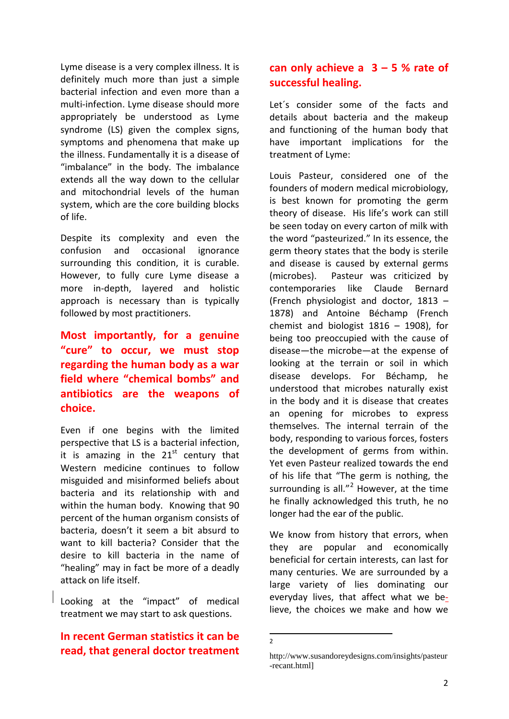Lyme disease is a very complex illness. It is definitely much more than just a simple bacterial infection and even more than a multi-infection. Lyme disease should more appropriately be understood as Lyme syndrome (LS) given the complex signs, symptoms and phenomena that make up the illness. Fundamentally it is a disease of "imbalance" in the body. The imbalance extends all the way down to the cellular and mitochondrial levels of the human system, which are the core building blocks of life.

Despite its complexity and even the confusion and occasional ignorance surrounding this condition, it is curable. However, to fully cure Lyme disease a more in-depth, layered and holistic approach is necessary than is typically followed by most practitioners.

### **Most importantly, for a genuine "cure" to occur, we must stop regarding the human body as a war field where "chemical bombs" and antibiotics are the weapons of choice.**

Even if one begins with the limited perspective that LS is a bacterial infection, it is amazing in the  $21<sup>st</sup>$  century that Western medicine continues to follow misguided and misinformed beliefs about bacteria and its relationship with and within the human body. Knowing that 90 percent of the human organism consists of bacteria, doesn't it seem a bit absurd to want to kill bacteria? Consider that the desire to kill bacteria in the name of "healing" may in fact be more of a deadly attack on life itself.

Looking at the "impact" of medical treatment we may start to ask questions.

### <span id="page-1-0"></span>**In recent German statistics it can be read, that general doctor treatment**

### **can only achieve a 3 – 5 % rate of successful healing.**

Let´s consider some of the facts and details about bacteria and the makeup and functioning of the human body that have important implications for the treatment of Lyme:

Louis Pasteur, considered one of the founders of modern medical microbiology, is best known for promoting the germ theory of disease. His life's work can still be seen today on every carton of milk with the word "pasteurized." In its essence, the germ theory states that the body is sterile and disease is caused by external germs (microbes). Pasteur was criticized by contemporaries like Claude Bernard (French physiologist and doctor, 1813 – 1878) and Antoine Béchamp (French chemist and biologist  $1816 - 1908$ ), for being too preoccupied with the cause of disease—the microbe—at the expense of looking at the terrain or soil in which disease develops. For Béchamp, he understood that microbes naturally exist in the body and it is disease that creates an opening for microbes to express themselves. The internal terrain of the body, responding to various forces, fosters the development of germs from within. Yet even Pasteur realized towards the end of his life that "The germ is nothing, the surrounding is all."<sup>[2](#page-1-0)</sup> However, at the time he finally acknowledged this truth, he no longer had the ear of the public.

We know from history that errors, when they are popular and economically beneficial for certain interests, can last for many centuries. We are surrounded by a large variety of lies dominating our everyday lives, that affect what we believe, the choices we make and how we

 <sup>2</sup>

http://www.susandoreydesigns.com/insights/pasteur -recant.html]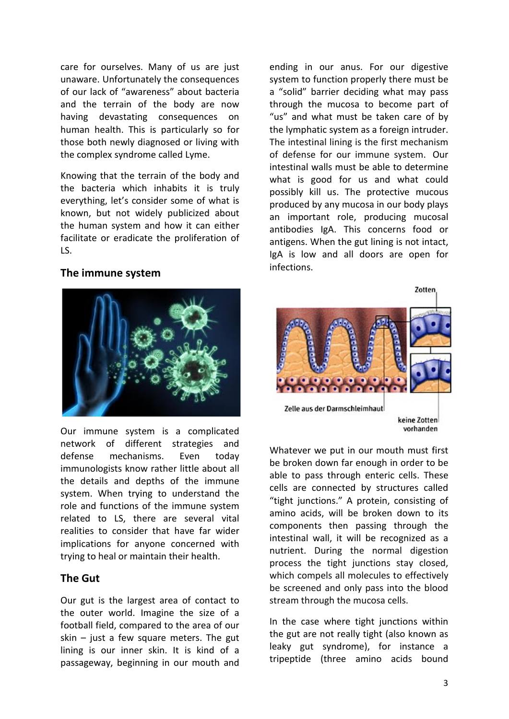care for ourselves. Many of us are just unaware. Unfortunately the consequences of our lack of "awareness" about bacteria and the terrain of the body are now having devastating consequences on human health. This is particularly so for those both newly diagnosed or living with the complex syndrome called Lyme.

Knowing that the terrain of the body and the bacteria which inhabits it is truly everything, let's consider some of what is known, but not widely publicized about the human system and how it can either facilitate or eradicate the proliferation of LS.

#### **The immune system**



Our immune system is a complicated network of different strategies and defense mechanisms. Even today immunologists know rather little about all the details and depths of the immune system. When trying to understand the role and functions of the immune system related to LS, there are several vital realities to consider that have far wider implications for anyone concerned with trying to heal or maintain their health.

#### **The Gut**

Our gut is the largest area of contact to the outer world. Imagine the size of a football field, compared to the area of our skin  $-$  just a few square meters. The gut lining is our inner skin. It is kind of a passageway, beginning in our mouth and

ending in our anus. For our digestive system to function properly there must be a "solid" barrier deciding what may pass through the mucosa to become part of "us" and what must be taken care of by the lymphatic system as a foreign intruder. The intestinal lining is the first mechanism of defense for our immune system. Our intestinal walls must be able to determine what is good for us and what could possibly kill us. The protective mucous produced by any mucosa in our body plays an important role, producing mucosal antibodies IgA. This concerns food or antigens. When the gut lining is not intact, IgA is low and all doors are open for infections.



Whatever we put in our mouth must first be broken down far enough in order to be able to pass through enteric cells. These cells are connected by structures called "tight junctions." A protein, consisting of amino acids, will be broken down to its components then passing through the intestinal wall, it will be recognized as a nutrient. During the normal digestion process the tight junctions stay closed, which compels all molecules to effectively be screened and only pass into the blood stream through the mucosa cells.

In the case where tight junctions within the gut are not really tight (also known as leaky gut syndrome), for instance a tripeptide (three amino acids bound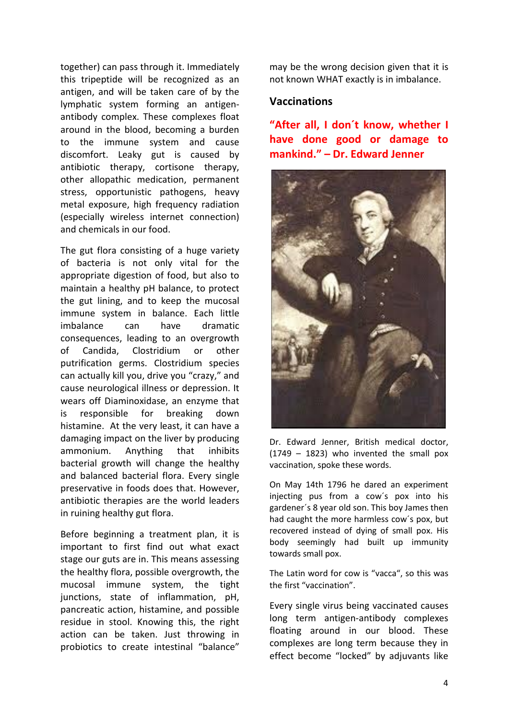together) can pass through it. Immediately this tripeptide will be recognized as an antigen, and will be taken care of by the lymphatic system forming an antigenantibody complex. These complexes float around in the blood, becoming a burden to the immune system and cause discomfort. Leaky gut is caused by antibiotic therapy, cortisone therapy, other allopathic medication, permanent stress, opportunistic pathogens, heavy metal exposure, high frequency radiation (especially wireless internet connection) and chemicals in our food.

The gut flora consisting of a huge variety of bacteria is not only vital for the appropriate digestion of food, but also to maintain a healthy pH balance, to protect the gut lining, and to keep the mucosal immune system in balance. Each little imbalance can have dramatic consequences, leading to an overgrowth of Candida, Clostridium or other putrification germs. Clostridium species can actually kill you, drive you "crazy," and cause neurological illness or depression. It wears off Diaminoxidase, an enzyme that is responsible for breaking down histamine. At the very least, it can have a damaging impact on the liver by producing ammonium. Anything that inhibits bacterial growth will change the healthy and balanced bacterial flora. Every single preservative in foods does that. However, antibiotic therapies are the world leaders in ruining healthy gut flora.

Before beginning a treatment plan, it is important to first find out what exact stage our guts are in. This means assessing the healthy flora, possible overgrowth, the mucosal immune system, the tight junctions, state of inflammation, pH, pancreatic action, histamine, and possible residue in stool. Knowing this, the right action can be taken. Just throwing in probiotics to create intestinal "balance"

may be the wrong decision given that it is not known WHAT exactly is in imbalance.

#### **Vaccinations**

**"After all, I don´t know, whether I have done good or damage to mankind." – Dr. Edward Jenner**



Dr. Edward Jenner, British medical doctor,  $(1749 - 1823)$  who invented the small pox vaccination, spoke these words.

On May 14th 1796 he dared an experiment injecting pus from a cow´s pox into his gardener´s 8 year old son. This boy James then had caught the more harmless cow´s pox, but recovered instead of dying of small pox. His body seemingly had built up immunity towards small pox.

The Latin word for cow is "vacca", so this was the first "vaccination".

Every single virus being vaccinated causes long term antigen-antibody complexes floating around in our blood. These complexes are long term because they in effect become "locked" by adjuvants like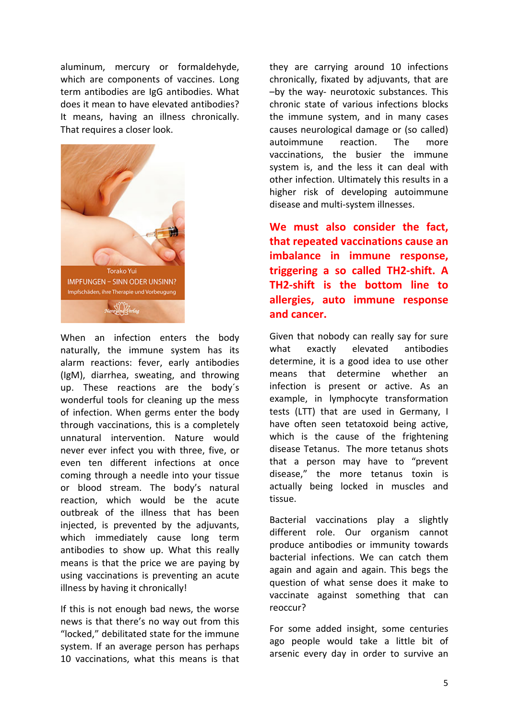aluminum, mercury or formaldehyde, which are components of vaccines. Long term antibodies are IgG antibodies. What does it mean to have elevated antibodies? It means, having an illness chronically. That requires a closer look.



When an infection enters the body naturally, the immune system has its alarm reactions: fever, early antibodies (IgM), diarrhea, sweating, and throwing up. These reactions are the body´s wonderful tools for cleaning up the mess of infection. When germs enter the body through vaccinations, this is a completely unnatural intervention. Nature would never ever infect you with three, five, or even ten different infections at once coming through a needle into your tissue or blood stream. The body's natural reaction, which would be the acute outbreak of the illness that has been injected, is prevented by the adjuvants, which immediately cause long term antibodies to show up. What this really means is that the price we are paying by using vaccinations is preventing an acute illness by having it chronically!

If this is not enough bad news, the worse news is that there's no way out from this "locked," debilitated state for the immune system. If an average person has perhaps 10 vaccinations, what this means is that

they are carrying around 10 infections chronically, fixated by adjuvants, that are –by the way- neurotoxic substances. This chronic state of various infections blocks the immune system, and in many cases causes neurological damage or (so called) autoimmune reaction. The more vaccinations, the busier the immune system is, and the less it can deal with other infection. Ultimately this results in a higher risk of developing autoimmune disease and multi-system illnesses.

**We must also consider the fact, that repeated vaccinations cause an imbalance in immune response, triggering a so called TH2-shift. A TH2-shift is the bottom line to allergies, auto immune response and cancer.**

Given that nobody can really say for sure what exactly elevated antibodies determine, it is a good idea to use other means that determine whether an infection is present or active. As an example, in lymphocyte transformation tests (LTT) that are used in Germany, I have often seen tetatoxoid being active, which is the cause of the frightening disease Tetanus. The more tetanus shots that a person may have to "prevent disease," the more tetanus toxin is actually being locked in muscles and tissue.

Bacterial vaccinations play a slightly different role. Our organism cannot produce antibodies or immunity towards bacterial infections. We can catch them again and again and again. This begs the question of what sense does it make to vaccinate against something that can reoccur?

For some added insight, some centuries ago people would take a little bit of arsenic every day in order to survive an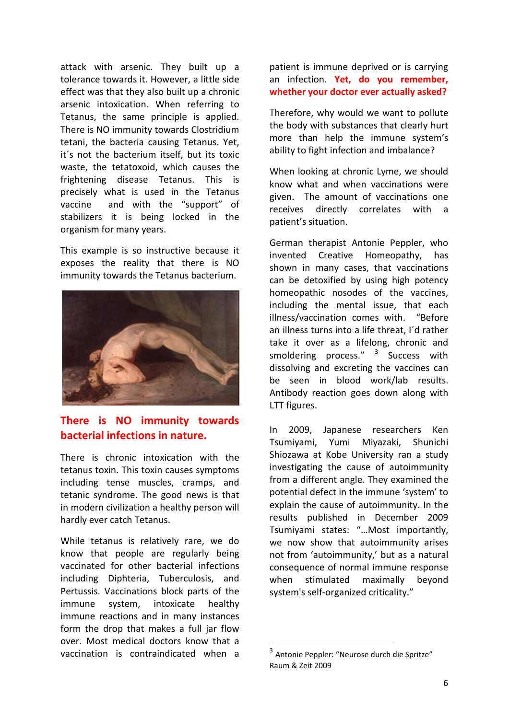attack with arsenic. They built up a tolerance towards it. However, a little side effect was that they also built up a chronic arsenic intoxication. When referring to Tetanus, the same principle is applied. There is NO immunity towards Clostridium tetani, the bacteria causing Tetanus. Yet, it´s not the bacterium itself, but its toxic waste, the tetatoxoid, which causes the frightening disease Tetanus. This is precisely what is used in the Tetanus vaccine and with the "support" of stabilizers it is being locked in the organism for many years.

This example is so instructive because it exposes the reality that there is NO immunity towards the Tetanus bacterium.



### **There is NO immunity towards bacterial infections in nature.**

There is chronic intoxication with the tetanus toxin. This toxin causes symptoms including tense muscles, cramps, and tetanic syndrome. The good news is that in modern civilization a healthy person will hardly ever catch Tetanus.

<span id="page-5-0"></span>While tetanus is relatively rare, we do know that people are regularly being vaccinated for other bacterial infections including Diphteria, Tuberculosis, and Pertussis. Vaccinations block parts of the immune system, intoxicate healthy immune reactions and in many instances form the drop that makes a full jar flow over. Most medical doctors know that a vaccination is contraindicated when a

patient is immune deprived or is carrying an infection. **Yet, do you remember, whether your doctor ever actually asked?**

Therefore, why would we want to pollute the body with substances that clearly hurt more than help the immune system's ability to fight infection and imbalance?

When looking at chronic Lyme, we should know what and when vaccinations were given. The amount of vaccinations one receives directly correlates with a patient's situation.

German therapist Antonie Peppler, who invented Creative Homeopathy, has shown in many cases, that vaccinations can be detoxified by using high potency homeopathic nosodes of the vaccines, including the mental issue, that each illness/vaccination comes with. "Before an illness turns into a life threat, I´d rather take it over as a lifelong, chronic and smoldering process."  $3$  Success with dissolving and excreting the vaccines can be seen in blood work/lab results. Antibody reaction goes down along with LTT figures.

In 2009, Japanese researchers Ken Tsumiyami, Yumi Miyazaki, Shunichi Shiozawa at Kobe University ran a study investigating the cause of autoimmunity from a different angle. They examined the potential defect in the immune 'system' to explain the cause of autoimmunity. In the results published in December 2009 Tsumiyami states: "…Most importantly, we now show that autoimmunity arises not from 'autoimmunity,' but as a natural consequence of normal immune response when stimulated maximally beyond system's self-organized criticality."

 <sup>3</sup> Antonie Peppler: "Neurose durch die Spritze" Raum & Zeit 2009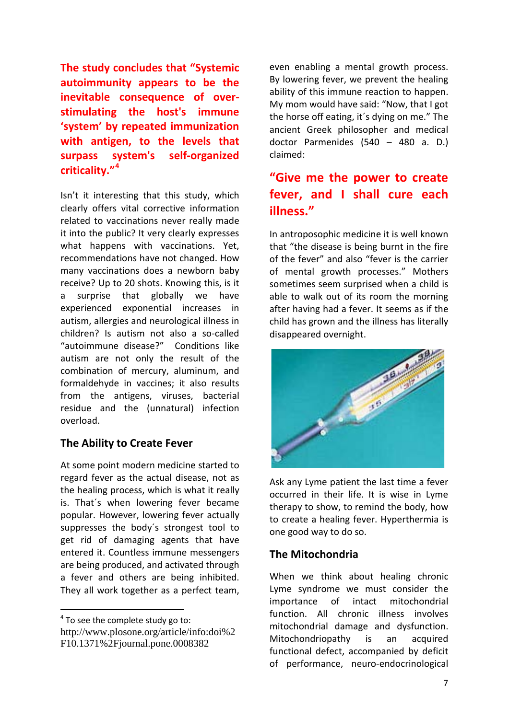**The study concludes that "Systemic autoimmunity appears to be the inevitable consequence of overstimulating the host's immune 'system' by repeated immunization with antigen, to the levels that surpass system's self-organized criticality."[4](#page-6-0)**

Isn't it interesting that this study, which clearly offers vital corrective information related to vaccinations never really made it into the public? It very clearly expresses what happens with vaccinations. Yet, recommendations have not changed. How many vaccinations does a newborn baby receive? Up to 20 shots. Knowing this, is it a surprise that globally we have experienced exponential increases in autism, allergies and neurological illness in children? Is autism not also a so-called "autoimmune disease?" Conditions like autism are not only the result of the combination of mercury, aluminum, and formaldehyde in vaccines; it also results from the antigens, viruses, bacterial residue and the (unnatural) infection overload.

#### **The Ability to Create Fever**

At some point modern medicine started to regard fever as the actual disease, not as the healing process, which is what it really is. That´s when lowering fever became popular. However, lowering fever actually suppresses the body´s strongest tool to get rid of damaging agents that have entered it. Countless immune messengers are being produced, and activated through a fever and others are being inhibited. They all work together as a perfect team,

<span id="page-6-0"></span> $4$  To see the complete study go to: http://www.plosone.org/article/info:doi%2 F10.1371%2Fjournal.pone.0008382

even enabling a mental growth process. By lowering fever, we prevent the healing ability of this immune reaction to happen. My mom would have said: "Now, that I got the horse off eating, it´s dying on me." The ancient Greek philosopher and medical doctor Parmenides (540 – 480 a. D.) claimed:

## **"Give me the power to create fever, and I shall cure each illness."**

In antroposophic medicine it is well known that "the disease is being burnt in the fire of the fever" and also "fever is the carrier of mental growth processes." Mothers sometimes seem surprised when a child is able to walk out of its room the morning after having had a fever. It seems as if the child has grown and the illness has literally disappeared overnight.



Ask any Lyme patient the last time a fever occurred in their life. It is wise in Lyme therapy to show, to remind the body, how to create a healing fever. Hyperthermia is one good way to do so.

#### **The Mitochondria**

When we think about healing chronic Lyme syndrome we must consider the importance of intact mitochondrial function. All chronic illness involves mitochondrial damage and dysfunction. Mitochondriopathy is an acquired functional defect, accompanied by deficit of performance, neuro-endocrinological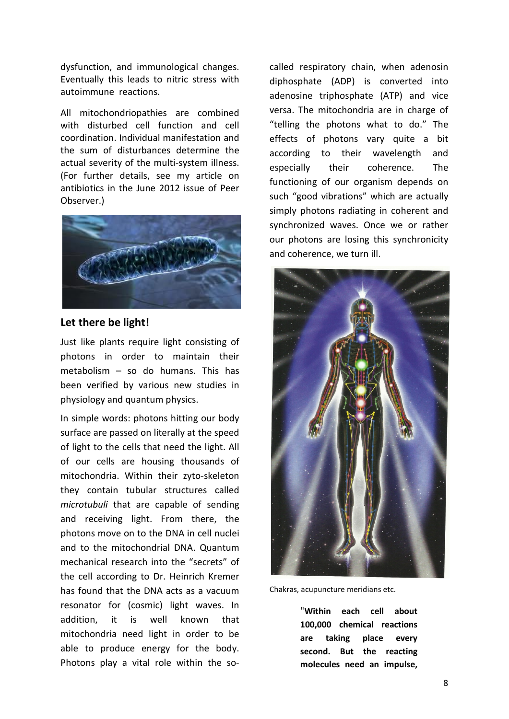dysfunction, and immunological changes. Eventually this leads to nitric stress with autoimmune reactions.

All mitochondriopathies are combined with disturbed cell function and cell coordination. Individual manifestation and the sum of disturbances determine the actual severity of the multi-system illness. (For further details, see my article on antibiotics in the June 2012 issue of Peer Observer.)



#### **Let there be light!**

Just like plants require light consisting of photons in order to maintain their metabolism – so do humans. This has been verified by various new studies in physiology and quantum physics.

In simple words: photons hitting our body surface are passed on literally at the speed of light to the cells that need the light. All of our cells are housing thousands of mitochondria. Within their zyto-skeleton they contain tubular structures called *microtubuli* that are capable of sending and receiving light. From there, the photons move on to the DNA in cell nuclei and to the mitochondrial DNA. Quantum mechanical research into the "secrets" of the cell according to Dr. Heinrich Kremer has found that the DNA acts as a vacuum resonator for (cosmic) light waves. In addition, it is well known that mitochondria need light in order to be able to produce energy for the body. Photons play a vital role within the so-

called respiratory chain, when adenosin diphosphate (ADP) is converted into adenosine triphosphate (ATP) and vice versa. The mitochondria are in charge of "telling the photons what to do." The effects of photons vary quite a bit according to their wavelength and especially their coherence. The functioning of our organism depends on such "good vibrations" which are actually simply photons radiating in coherent and synchronized waves. Once we or rather our photons are losing this synchronicity and coherence, we turn ill.



Chakras, acupuncture meridians etc.

"**Within each cell about 100,000 chemical reactions are taking place every second. But the reacting molecules need an impulse,**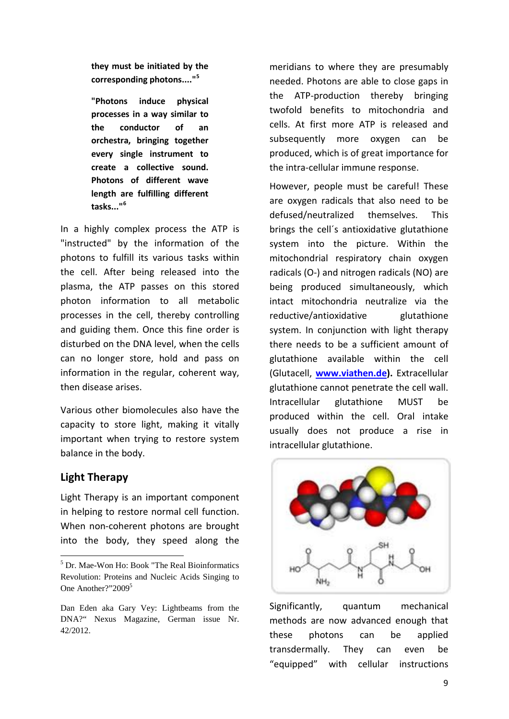**they must be initiated by the corresponding photons...."[5](#page-8-0)**

**"Photons induce physical processes in a way similar to the conductor of an orchestra, bringing together every single instrument to create a collective sound. Photons of different wave length are fulfilling different tasks..."[6](#page-8-1)**

In a highly complex process the ATP is "instructed" by the information of the photons to fulfill its various tasks within the cell. After being released into the plasma, the ATP passes on this stored photon information to all metabolic processes in the cell, thereby controlling and guiding them. Once this fine order is disturbed on the DNA level, when the cells can no longer store, hold and pass on information in the regular, coherent way, then disease arises.

Various other biomolecules also have the capacity to store light, making it vitally important when trying to restore system balance in the body.

#### **Light Therapy**

 $\overline{a}$ 

Light Therapy is an important component in helping to restore normal cell function. When non-coherent photons are brought into the body, they speed along the

meridians to where they are presumably needed. Photons are able to close gaps in the ATP-production thereby bringing twofold benefits to mitochondria and cells. At first more ATP is released and subsequently more oxygen can be produced, which is of great importance for the intra-cellular immune response.

However, people must be careful! These are oxygen radicals that also need to be defused/neutralized themselves. This brings the cell´s antioxidative glutathione system into the picture. Within the mitochondrial respiratory chain oxygen radicals (O-) and nitrogen radicals (NO) are being produced simultaneously, which intact mitochondria neutralize via the reductive/antioxidative glutathione system. In conjunction with light therapy there needs to be a sufficient amount of glutathione available within the cell (Glutacell, **[www.viathen.de\)](http://www.viathen.de/).** Extracellular glutathione cannot penetrate the cell wall. Intracellular glutathione MUST be produced within the cell. Oral intake usually does not produce a rise in intracellular glutathione.



Significantly, quantum mechanical methods are now advanced enough that these photons can be applied transdermally. They can even be "equipped" with cellular instructions

<span id="page-8-0"></span><sup>5</sup> Dr. Mae-Won Ho: Book "The Real Bioinformatics Revolution: Proteins and Nucleic Acids Singing to One Another?"20095

<span id="page-8-1"></span>Dan Eden aka Gary Vey: Lightbeams from the DNA?" Nexus Magazine, German issue Nr. 42/2012.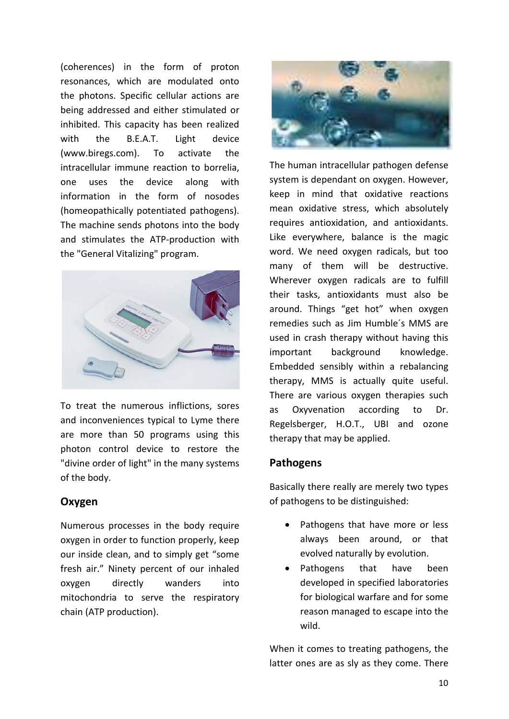(coherences) in the form of proton resonances, which are modulated onto the photons. Specific cellular actions are being addressed and either stimulated or inhibited. This capacity has been realized with the B.E.A.T. Light device [\(www.biregs.com\)](http://www.biregs.com/). To activate the intracellular immune reaction to borrelia, one uses the device along with information in the form of nosodes (homeopathically potentiated pathogens). The machine sends photons into the body and stimulates the ATP-production with the "General Vitalizing" program.



To treat the numerous inflictions, sores and inconveniences typical to Lyme there are more than 50 programs using this photon control device to restore the "divine order of light" in the many systems of the body.

#### **Oxygen**

Numerous processes in the body require oxygen in order to function properly, keep our inside clean, and to simply get "some fresh air." Ninety percent of our inhaled oxygen directly wanders into mitochondria to serve the respiratory chain (ATP production).



The human intracellular pathogen defense system is dependant on oxygen. However, keep in mind that oxidative reactions mean oxidative stress, which absolutely requires antioxidation, and antioxidants. Like everywhere, balance is the magic word. We need oxygen radicals, but too many of them will be destructive. Wherever oxygen radicals are to fulfill their tasks, antioxidants must also be around. Things "get hot" when oxygen remedies such as Jim Humble´s MMS are used in crash therapy without having this important background knowledge. Embedded sensibly within a rebalancing therapy, MMS is actually quite useful. There are various oxygen therapies such as Oxyvenation according to Dr. Regelsberger, H.O.T., UBI and ozone therapy that may be applied.

#### **Pathogens**

Basically there really are merely two types of pathogens to be distinguished:

- Pathogens that have more or less always been around, or that evolved naturally by evolution.
- Pathogens that have been developed in specified laboratories for biological warfare and for some reason managed to escape into the wild.

When it comes to treating pathogens, the latter ones are as sly as they come. There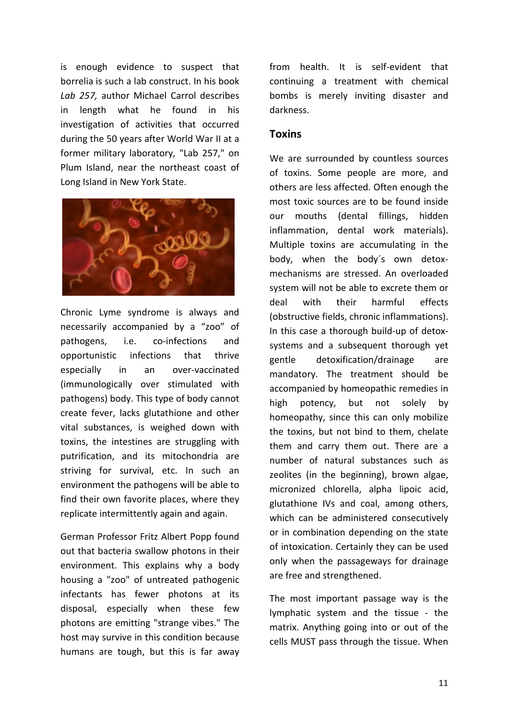is enough evidence to suspect that borrelia is such a lab construct. In his book *Lab 257,* author Michael Carrol describes in length what he found in his investigation of activities that occurred during the 50 years after World War II at a former military laboratory, "Lab 257," on Plum Island, near the northeast coast of Long Island in New York State.



Chronic Lyme syndrome is always and necessarily accompanied by a "zoo" of pathogens, i.e. co-infections and opportunistic infections that thrive especially in an over-vaccinated (immunologically over stimulated with pathogens) body. This type of body cannot create fever, lacks glutathione and other vital substances, is weighed down with toxins, the intestines are struggling with putrification, and its mitochondria are striving for survival, etc. In such an environment the pathogens will be able to find their own favorite places, where they replicate intermittently again and again.

German Professor Fritz Albert Popp found out that bacteria swallow photons in their environment. This explains why a body housing a "zoo" of untreated pathogenic infectants has fewer photons at its disposal, especially when these few photons are emitting "strange vibes." The host may survive in this condition because humans are tough, but this is far away from health. It is self-evident that continuing a treatment with chemical bombs is merely inviting disaster and darkness.

#### **Toxins**

We are surrounded by countless sources of toxins. Some people are more, and others are less affected. Often enough the most toxic sources are to be found inside our mouths (dental fillings, hidden inflammation, dental work materials). Multiple toxins are accumulating in the body, when the body´s own detoxmechanisms are stressed. An overloaded system will not be able to excrete them or deal with their harmful effects (obstructive fields, chronic inflammations). In this case a thorough build-up of detoxsystems and a subsequent thorough yet gentle detoxification/drainage are mandatory. The treatment should be accompanied by homeopathic remedies in high potency, but not solely by homeopathy, since this can only mobilize the toxins, but not bind to them, chelate them and carry them out. There are a number of natural substances such as zeolites (in the beginning), brown algae, micronized chlorella, alpha lipoic acid, glutathione IVs and coal, among others, which can be administered consecutively or in combination depending on the state of intoxication. Certainly they can be used only when the passageways for drainage are free and strengthened.

The most important passage way is the lymphatic system and the tissue - the matrix. Anything going into or out of the cells MUST pass through the tissue. When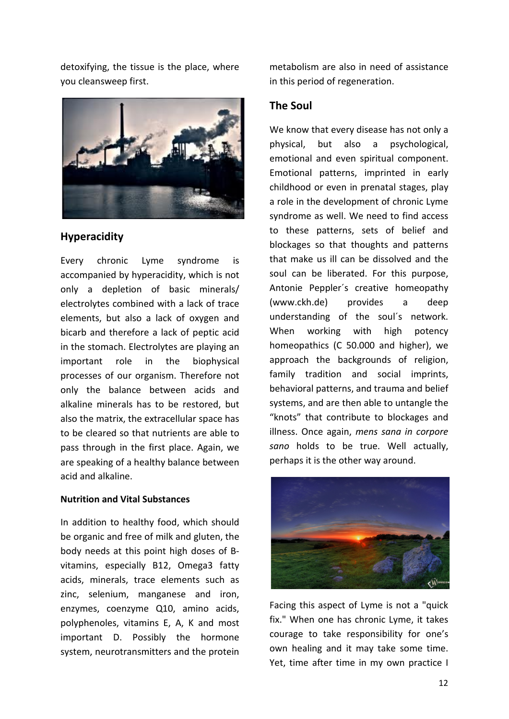detoxifying, the tissue is the place, where you cleansweep first.



#### **Hyperacidity**

Every chronic Lyme syndrome is accompanied by hyperacidity, which is not only a depletion of basic minerals/ electrolytes combined with a lack of trace elements, but also a lack of oxygen and bicarb and therefore a lack of peptic acid in the stomach. Electrolytes are playing an important role in the biophysical processes of our organism. Therefore not only the balance between acids and alkaline minerals has to be restored, but also the matrix, the extracellular space has to be cleared so that nutrients are able to pass through in the first place. Again, we are speaking of a healthy balance between acid and alkaline.

#### **Nutrition and Vital Substances**

In addition to healthy food, which should be organic and free of milk and gluten, the body needs at this point high doses of Bvitamins, especially B12, Omega3 fatty acids, minerals, trace elements such as zinc, selenium, manganese and iron, enzymes, coenzyme Q10, amino acids, polyphenoles, vitamins E, A, K and most important D. Possibly the hormone system, neurotransmitters and the protein

metabolism are also in need of assistance in this period of regeneration.

#### **The Soul**

We know that every disease has not only a physical, but also a psychological, emotional and even spiritual component. Emotional patterns, imprinted in early childhood or even in prenatal stages, play a role in the development of chronic Lyme syndrome as well. We need to find access to these patterns, sets of belief and blockages so that thoughts and patterns that make us ill can be dissolved and the soul can be liberated. For this purpose, Antonie Peppler´s creative homeopathy [\(www.ckh.de\)](http://www.ckh.de/) provides a deep understanding of the soul´s network. When working with high potency homeopathics (C 50.000 and higher), we approach the backgrounds of religion, family tradition and social imprints, behavioral patterns, and trauma and belief systems, and are then able to untangle the "knots" that contribute to blockages and illness. Once again, *mens sana in corpore sano* holds to be true. Well actually, perhaps it is the other way around.



Facing this aspect of Lyme is not a "quick fix." When one has chronic Lyme, it takes courage to take responsibility for one's own healing and it may take some time. Yet, time after time in my own practice I